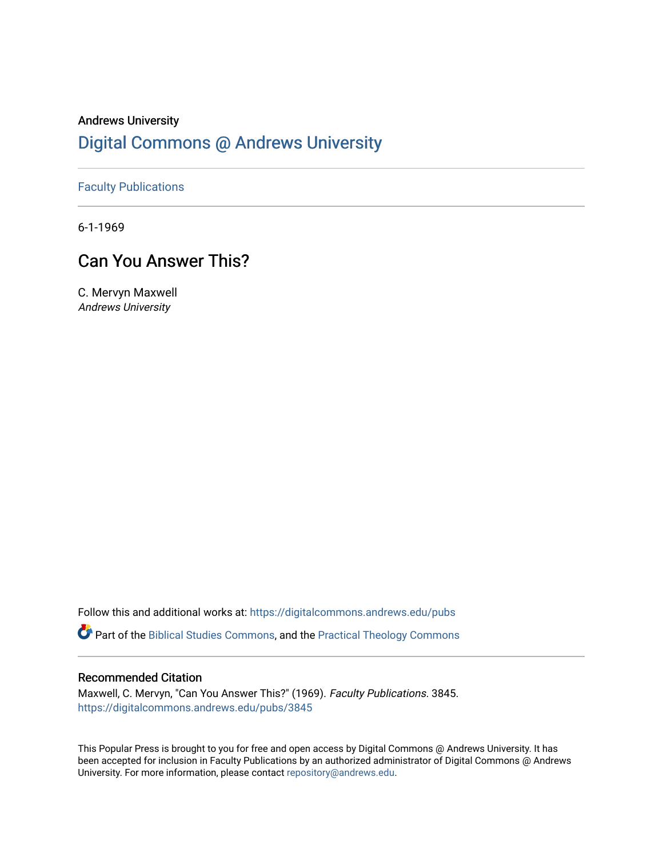## Andrews University [Digital Commons @ Andrews University](https://digitalcommons.andrews.edu/)

[Faculty Publications](https://digitalcommons.andrews.edu/pubs)

6-1-1969

## Can You Answer This?

C. Mervyn Maxwell Andrews University

Follow this and additional works at: [https://digitalcommons.andrews.edu/pubs](https://digitalcommons.andrews.edu/pubs?utm_source=digitalcommons.andrews.edu%2Fpubs%2F3845&utm_medium=PDF&utm_campaign=PDFCoverPages) 

Part of the [Biblical Studies Commons,](http://network.bepress.com/hgg/discipline/539?utm_source=digitalcommons.andrews.edu%2Fpubs%2F3845&utm_medium=PDF&utm_campaign=PDFCoverPages) and the [Practical Theology Commons](http://network.bepress.com/hgg/discipline/1186?utm_source=digitalcommons.andrews.edu%2Fpubs%2F3845&utm_medium=PDF&utm_campaign=PDFCoverPages) 

### Recommended Citation

Maxwell, C. Mervyn, "Can You Answer This?" (1969). Faculty Publications. 3845. [https://digitalcommons.andrews.edu/pubs/3845](https://digitalcommons.andrews.edu/pubs/3845?utm_source=digitalcommons.andrews.edu%2Fpubs%2F3845&utm_medium=PDF&utm_campaign=PDFCoverPages) 

This Popular Press is brought to you for free and open access by Digital Commons @ Andrews University. It has been accepted for inclusion in Faculty Publications by an authorized administrator of Digital Commons @ Andrews University. For more information, please contact [repository@andrews.edu](mailto:repository@andrews.edu).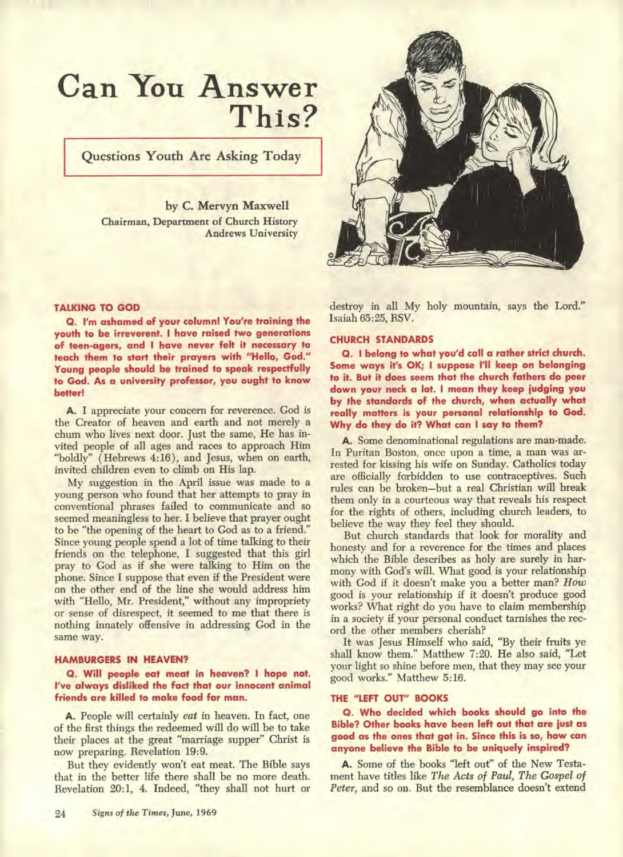# **Can You Answer This?**

**Questions Youth Are Asking Today** 

**by C. Mervyn Maxwell Chairman, Department of Church History Andrews University** 



**TALKING TO GOD** 

**Q. I'm ashamed of your column! You're training the youth to be irreverent. I have raised two generations of teen-agers, and I have never felt it necessary to teach them to start their prayers with "Hello, God." Young people should be trained to speak respectfully to God. As a university professor, you ought to know better!** 

**A. I appreciate your concern for reverence. God is the Creator of heaven and earth and not merely a chum who lives next door. Just the same, He has invited people of all ages and races to approach Him "boldly" ( Hebrews 4:16), and Jesus, when on earth, invited children even to climb on His lap.** 

**My suggestion in the April issue was made to a young person who found that her attempts to pray in conventional phrases failed to communicate and so seemed meaningless to her. I believe that prayer ought to be "the opening of the heart to God as to a friend." Since young people spend a lot of time talking to their friends on the telephone, I suggested that this girl pray to God as if she were talking to Him on the phone. Since I suppose that even if the President were on the other end of the line she would address him with "Hello, Mr. President," without any impropriety or sense of disrespect, it seemed to me that there is nothing innately offensive in addressing God in the same way.** 

#### **HAMBURGERS IN HEAVEN?**

**Q. Will people eat meat in heaven? I hope not. I've always disliked the fact that our innocent animal friends are killed to make food for man.** 

**A. People will certainly** *eat* **in heaven. In fact, one of the first things the redeemed will do will be to take their places at the great "marriage supper" Christ is now preparing. Revelation 19:9.** 

**But they evidently won't eat meat. The Bible says that in the better life there shall be no more death. Revelation 20:1, 4. Indeed, "they shall not hurt or** 

**destroy in all My holy mountain, says the Lord." Isaiah 65:25, RSV.** 

#### **CHURCH STANDARDS**

**O. I belong to what you'd call a rather strict church. Some ways it's OK; I suppose I'll keep on belonging to it. But it does seem that the church fathers do peer down your neck a lot. I mean they keep judging you by the standards of the church, when actually what really matters is your personal relationship to God. Why do they do it? What can I say to them?** 

**A. Some denominational regulations are man-made. In Puritan Boston, once upon a time, a man was arrested for kissing his wife on Sunday. Catholics today are officially forbidden to use contraceptives. Such rules can be broken—but a real Christian will break them only in a courteous way that reveals his respect for the rights of others, including church leaders, to believe the way they feel they should.** 

**But church standards that look for morality and honesty and for a reverence for the times and places which the Bible describes as holy are surely in harmony with God's will. What good is your relationship with God if it doesn't make you a better man?** *How*  **good is your relationship if it doesn't produce good works? What right do you have to claim membership in a society if your personal conduct tarnishes the record the other members cherish?** 

**It was Jesus Himself who said, "By their fruits ye shall know them." Matthew 7:20. He also said, "Let your light so shine before men, that they may see your good works." Matthew 5:16.** 

#### **THE "LEFT OUT" BOOKS**

**O. Who decided which books should go into the Bible? Other books have been left out that are just as good as the ones that got in. Since this is so, how can anyone believe the Bible to be uniquely inspired?** 

**A. Some of the books "left out" of the New Testament have titles like** *The Acts of Paul, The Gospel of Peter,* **and so on. But the resemblance doesn't extend**